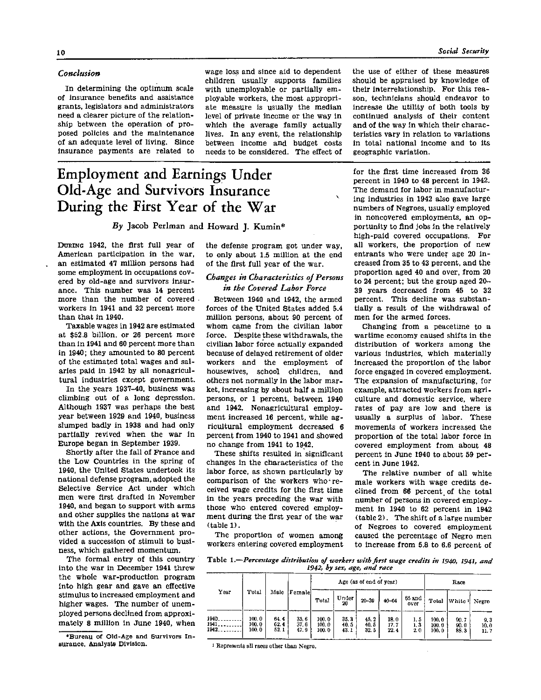### Conclusion

In determining the optimum scale of insurance benefits and assistance grants, legislators and administrators need a clearer picture of the relationship between the operation of proposed policies and the maintenance of an adequate level of living. Since insurance payments are related to

wage loss and since aid to dependent children usually supports families with unemployable or partially employable workers, the most appropriate measure is usually the median level of private income or the way in which the average family actually lives. In any event, the relationship between income and budget costs needs to be considered. The effect of

# **Employment and Earnings Under Old-Age and Survivors Insurance During the First Year of the War**

# *By* **Jacob Perlman and Howard J. Kumin\***

**DURING 1942,** the first full year of American participation in the war, an estimated 47 million persons had some employment in occupations covered by old-age and survivors insurance. This number was 14 percent more than the number of covered workers in 1941 and 32 percent more than that in 1940.

Taxable wages in 1942 are estimated at \$52.8 billion, or 26 percent more than in 1941 and 60 percent more than in 1940; they amounted to 80 percent of the estimated total wages and salaries paid in 1942 by all nonagricultural industries except government.

In the years 1937-40, business was climbing out of a long depression. Although 1937 was perhaps the best year between 1929 and 1940, business slumped badly in 1938 and had only partially revived when the war in Europe began in September 1939.

Shortly after the fall of France and the Low Countries in the spring of 1940, the United States undertook its national defense program, adopted the Selective Service Act under which men were first drafted in November 1940, and began to support with arms and other supplies the nations at war with the Axis countries. By these and other actions, the Government provided a succession of stimuli to business, which gathered momentum.

The formal entry of this country into the war in December 1941 threw the whole war-production program into high gear and gave an effective stimulus to increased employment and higher wages. The number of unemployed persons declined from approximately 8 million in June 1940, when

\*Bureau of Old-Age and Survivors In surance, Analysis Division.

the defense program got under way, to only about 1.5 million at the end of the first full year of the war.

#### *Changes in Characteristics of Persons in the Covered Labor Force*

Between 1940 and 1942, the armed forces of the United States added 5.4 million persons, about 90 percent of whom came from the civilian labor force. Despite these withdrawals, the civilian labor force actually expanded because of delayed retirement of older workers and the employment of housewives, school children, and others not normally in the labor market, increasing by about half a million persons, or 1 percent, between 1940 and 1942. Nonagricultural employment increased 16 percent, while agricultural employment decreased 6 percent from 1940 to 1941 and showed no change from 1941 to 1942.

These shifts resulted in significant changes in the characteristics of the labor force, as shown particularly by comparison of the workers who 'received wage credits for the first time in the years preceding the war with those who entered covered employment during the first year of the war (table 1 **) .** 

The proportion of women among workers entering covered employment

and of the way in which their characteristics vary in relation to variations in total national income and to its geographic variation. for the first time increased from 36 percent in 1940 to 48 percent in 1942. The demand for labor in manufacturing industries in 1942 also gave large

the use of either of these measures

should be appraised by knowledge of

their interrelationship. For this rea-

son, technicians should endeavor to

increase the utility of both tools by

continued analysis of their content

numbers of Negroes, usually employed in noncovered employments, an opportunity to find jobs in the relatively high-paid covered occupations. For all workers, the proportion of new entrants who were under age 20 in creased from 35 to 43 percent, and the proportion aged 40 and over, from 20 to 24 percent; but the group aged  $20-$ 3 9 years decreased from 45 to 32 percent. This decline was substantially a result of the withdrawal of men for the armed forces.

Changing from a peacetime to a wartime economy caused shifts in the distribution of workers among the various industries, which materially increased the proportion of the labor force engaged in covered employment. The expansion of manufacturing, for example, attracted workers from agriculture and domestic service, where rates of pay are low and there is usually a surplus of labor. These movements of workers increased the proportion of the total labor force in covered employment from about 48 percent in June 1940 to about 59 percent in June 1942.

The relative number of all white male workers with wage credits declined from 66 percent of the total number of persons in covered employment in 1940 to 62 percent in 1942 (table 2) . The shift of a large number of Negroes to covered employment caused the percentage of Negro men to increase from 5.8 to 6.6 percent of

Table 1.—*Percentage distribution of workers with first wage credits in 1940, 1941, and 1942, by sex, age, and race* 

|                        |                         |                      |                     | Age (as of end of year) |                      |                      |                      |                   | Race                     |                      |                     |
|------------------------|-------------------------|----------------------|---------------------|-------------------------|----------------------|----------------------|----------------------|-------------------|--------------------------|----------------------|---------------------|
| <b>Y</b> евг           | Total                   | Malo                 | Female              | Total                   | Under<br>20          | $20 - 39$            | $40 - 64$            | $65$ and<br>over  | Total                    | White <sup>1</sup>   | Negro               |
| 1940.<br>1941<br>1942. | 100.0<br>100.0<br>100.0 | 64.4<br>62.4<br>52.1 | 356<br>37.6<br>47.9 | 100.0<br>100.0<br>100.0 | 35.3<br>40.5<br>43.1 | 45.2<br>40.5<br>32.5 | 18.0<br>17.7<br>22.4 | 1.5<br>1.3<br>2.0 | 100, 0<br>100.0<br>100.0 | 00.7<br>90.0<br>88.3 | 9.3<br>10.0<br>11.7 |

<sup>1</sup> Represents all races other than Negro.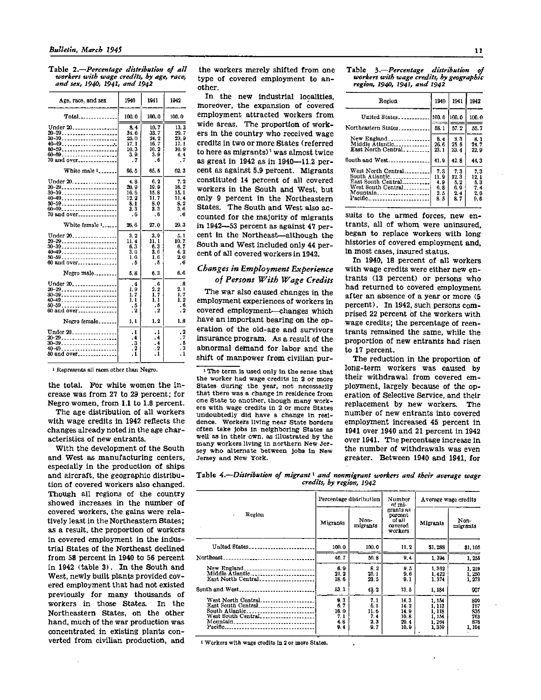Table 2.—*Percentage distribution of all workers with wage credits, by age, race, and sex, 1940, 1941, and 1942* 

| Age, race, and sex                             | 1940                                                     | 1941                                                 | 1942                                                |
|------------------------------------------------|----------------------------------------------------------|------------------------------------------------------|-----------------------------------------------------|
|                                                | 100.0                                                    | 100.0                                                | 100.0                                               |
| Under 20.<br>40-49<br>60-59<br>60-69. <b>.</b> | 8.4<br>34. 6<br>25.0<br>17.1<br>10. 3<br>3. 9            | 10. 7<br>33.7<br>24.2<br>16.7<br>10.2<br>3. 9        | 13.3<br>29.7<br>23. 9<br>17.1<br>10.9<br>4.4        |
| 70 and over                                    | . 7                                                      | . 6                                                  | . 7                                                 |
| White male 1                                   | 66. 5                                                    | 65. 6                                                | 62.3                                                |
| Under 20.<br>20-29<br>50-59<br>70 and over     | 4.8<br>20. 9<br>10. O<br>12.2<br>8. 1<br>3. 3<br>. 6     | 6. 2<br>19. 9<br>15. 8<br>11.7<br>8.0<br>3. 3<br>. ჩ | 7.2<br>16. 2<br>15.1<br>11.4<br>8. 2<br>3. 6<br>. 6 |
| White female 1                                 | 26, 6                                                    | 27.0                                                 | 29.3                                                |
| Under 20.<br>20-29<br>30-39<br>60 and over     | 3.2<br>11. 4<br>6. 3<br>3. 0<br>1.6<br>. Б               | 3.9<br>11. 1<br>6.3<br>3.0<br>1.6<br>. 5             | 5.1<br>10. 7<br>6.7<br>4.2<br>2.0<br>- 6            |
| Negro male                                     | 5. 8                                                     | 6. 3                                                 | 6.6                                                 |
| Under $20$<br>40-49<br>50-59<br>60 and over    | $\cdot$ <sup>4</sup><br>1. 9<br>1.7<br>1.1<br>. 5<br>. 2 | . 6<br>2.2<br>1.7<br>1.1<br>- 6<br>$\cdot$ 2         | $\cdot$ 8<br>2.1<br>1.7<br>1.2<br>. 6<br>. 2        |
| Negro female                                   | 1,1                                                      | 1, 2                                                 | 1.8                                                 |
| Under 20.<br>30-39<br>50 and over              | . 1<br>. 4<br>3<br>$\overline{a}$<br>2<br>$\cdot$ 1      | .1<br>. 4<br>. 4<br>. 2<br>. 1                       | $\overline{2}$<br>. 7<br>. 6<br>з<br>1              |

1 Represents all races other than Negro.

the total. For white women the increase was from 27 to 29 percent; for Negro women, from 1.1 to 1.8 percent.

The age distribution of all workers with wage credits in 1942 reflects the changes already noted in the age characteristics of new entrants.

With the development of the South and West as manufacturing centers, especially in the production of ships and aircraft, the geographic distribution of covered workers also changed. Though all regions of the country showed increases in the number of covered workers, the gains were relatively least in the Northeastern States; as a result, the proportion of workers in covered employment in the industrial States of the Northeast declined from 58 percent in 1940 to 56 percent in 1942 (table 3). In the South and West, newly built plants provided covered employment that had not existed previously for many thousands of workers in those States. In the Northeastern States, on the other hand, much of the war production was concentrated in existing plants converted from civilian production, and

the workers merely shifted from one type of covered employment to another.

In the new industrial localities, moreover, the expansion of covered employment attracted workers from wide areas. The proportion of workers in the country who received wage credits in two or more States (referred to here as migrants)' was almost twice as great in 1942 as in 1940—11.2 percent as against 5.9 percent. Migrants constituted 14 percent of all covered workers in the South and West, but only 9 percent in the Northeastern States. The South and West also accounted for the majority of migrants in 1942—53 percent as against 47 percent in the Northeast—although the South and West included only 44 percent of all covered workers in 1942.

# *Changes in Employment Experience of Persons With Wage Credits*

The war also caused changes in the employment experiences of workers in covered employment—changes which have an important bearing on the operation of the old-age and survivors insurance program. As a result of the abnormal demand for labor and the shift of manpower from civilian pur-

<sup>1</sup> The term is used only in the sense that the worker had wage credits in 2 or more States during the year, not necessarily that there was a change in residence from one State to another, though many workers with wage credits in 2 or more States undoubtedly did have a change in residence. Workers living near State borders often take Jobs in neighboring States as well as in their own, as illustrated by the many workers living in northern New Jersey who alternate between jobs in New Jersey and New York.

Table 3.—*Percentage distribution of workers with wage credits, by geographic region, 1940, 1941, and 1942* 

| Region                                                                                                  | 1940                                   | 1941                                     | 1942                                    |
|---------------------------------------------------------------------------------------------------------|----------------------------------------|------------------------------------------|-----------------------------------------|
| United States                                                                                           | 100.0                                  | 1100. D                                  | 100.0                                   |
| Northeastern States                                                                                     | 58.1                                   | 57.2                                     | 55.7                                    |
| New England<br>Middle Atlantic<br>East North Central                                                    | 8.4<br>26.6<br>23.1                    | 3,3<br>25.5<br>23.4                      | 8.1<br>24.7<br>22.9                     |
| South and West                                                                                          | 41.9                                   | 42.8                                     | 44.3                                    |
| West North Central<br>South Atlantic<br>East South Central<br>West South Central<br>Mountain<br>Pacific | 7.3<br>11.9<br>4.9<br>6.8<br>2.5<br>85 | 7.3<br>12.3<br>5. 2<br>6.9<br>2.4<br>8.7 | 7.3<br>12.1<br>63<br>7.4<br>2. 6<br>9.6 |

suits to the armed forces, new entrants, all of whom were uninsured, began to replace workers with long histories of covered employment and, in most cases, insured status.

In 1940, 18 percent of all workers with wage credits were either new entrants (13 percent) or persons who had returned to covered employment after an absence of a year or more (5 percent). In 1942, such persons comprised 22 percent of the workers with wage credits; the percentage of reentrants remained the same, while the proportion of new entrants had risen to 17 percent.

The reduction in the proportion of long-term workers was caused by their withdrawal from covered employment, largely because of the operation of Selective Service, and their replacement by new workers. The number of new entrants into covered employment increased 45 percent in 1941 over 1940 and 21 percent in 1942 over 1941. The percentage increase in the number of withdrawals was even greater. Between 1940 and 1941, for

Table 4.—*Distribution of migrant<sup>1</sup> and nonmigrant workers and their average wage credits, by region, 1942* 

|                                                                        |                                         | Percentage distribution                | Number<br>of mi-                                     | Average wage credits                                  |                                           |  |  |
|------------------------------------------------------------------------|-----------------------------------------|----------------------------------------|------------------------------------------------------|-------------------------------------------------------|-------------------------------------------|--|--|
| Region<br>$\bullet$                                                    | Non-<br>Migrants<br>migrants            |                                        | grants as<br>percent<br>ot all<br>covered<br>workers | Migrants                                              | Non-<br>migrants                          |  |  |
| United States                                                          | 100.0                                   | 100.0                                  | 11.2                                                 | \$1,288                                               | \$1 105                                   |  |  |
| Northeast.<br>----------------------------                             | 46.7                                    | 56.8                                   | 9.4                                                  | 1,394                                                 | 1,255                                     |  |  |
| New England<br>Middle Atlantic<br>East North Central                   | 6.9<br>21.2<br>18.6                     | 8.2<br>25.1<br>23 5                    | 9.5<br>9.6<br>9.1                                    | 1,362<br>1, 122<br>1,374                              | 1, 219<br>1,250<br>1, 273                 |  |  |
| South and West                                                         | 53.3                                    | 43.2                                   | 13.5                                                 | 1. 184                                                | 907                                       |  |  |
| West North Central<br>East South Central<br>South Atlantic<br>Mountain | 9.3<br>0.7<br>16.0<br>7.1<br>4.8<br>0.4 | 7.1<br>6.1<br>11.6<br>74<br>2,3<br>0.7 | 14. 3<br>14.2<br>14.9<br>10.8<br>20.4<br>10. D       | 1.154<br>1, 113<br>1, 118<br>1, 154<br>1.264<br>1,359 | 899<br>757<br>836<br>763<br>876<br>1, 194 |  |  |

1 Workers with wage credits in 2 or more States.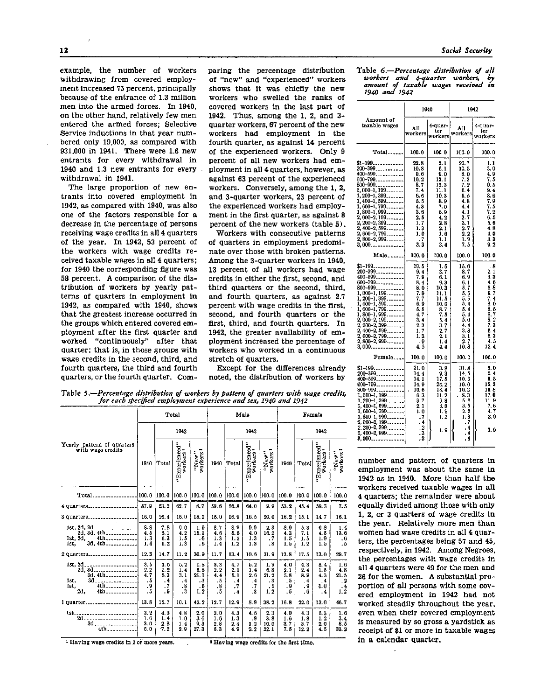example, the number of workers withdrawing from covered employment increased 75 percent, principally because of the entrance of 1.3 million men into the armed forces. In 1940, on the other hand, relatively few men entered the armed forces; Selective Service inductions in that year numbered only 19,000, as compared with 931,000 in 1941. There were 1.6 new entrants for every withdrawal in 1940 and 1.3 new entrants for every withdrawal in 1941.

The large proportion of new entrants into covered employment in 1942, as compared with 1940, was also one of the factors responsible for a decrease in the percentage of persons receiving wage credits in all 4 quarters of the year. In 1942, 53 percent of the workers with wage credits received taxable wages in all 4 quarters; for 1940 the corresponding figure was 58 percent. A comparison of the distribution of workers by yearly patterns of quarters in employment in 1942, as compared with 1940, shows that the greatest increase occurred in the groups which entered covered employment after the first quarter and worked "continuously" after that quarter; that is, in those groups with wage credits in the second, third, and fourth quarters, the third and fourth quarters, or the fourth quarter. Comparing the percentage distribution of "new" and "experienced" workers shows that it was chiefly the new workers who swelled the ranks of covered workers in the last part of 1942. Thus, among the 1, 2, and 3 quarter workers, 67 percent of the new workers had employment in the fourth quarter, as against 14 percent of the experienced workers. Only 9 percent of all new workers had employment in all 4 quarters, however, as against 63 percent of the experienced workers. Conversely, among the 1, 2, and 3-quarter workers, 23 percent of the experienced workers had employment in the first quarter, as against 8 percent of the new workers (table 5).

Workers with consecutive patterns of quarters in employment predominate over those with broken patterns. Among the 3-quarter workers in 1940, 13 percent of all workers had wage credits in either the first, second, and third quarters or the second, third, and fourth quarters, as against 2.7 percent with wage credits in the first, second, and fourth quarters or the first, third, and fourth quarters. In 1942, the greater availability of employment increased the percentage of workers who worked in a continuous stretch of quarters.

Except for the differences already noted, the distribution of workers by

Table 5.—*Percentage distribution of workers by pattern of quarters with wage credits, for each specified employment experience and sex, 1940 and 1942* 

|                                                                                                        | Total                                                       |                                                                     |                                                                     |                                                          | Male                                       |                                              |                                                               |                                                                | Female                                 |                                             |                                                  |                                                                                                                                                                                                                                                                                                                                                                                                                |
|--------------------------------------------------------------------------------------------------------|-------------------------------------------------------------|---------------------------------------------------------------------|---------------------------------------------------------------------|----------------------------------------------------------|--------------------------------------------|----------------------------------------------|---------------------------------------------------------------|----------------------------------------------------------------|----------------------------------------|---------------------------------------------|--------------------------------------------------|----------------------------------------------------------------------------------------------------------------------------------------------------------------------------------------------------------------------------------------------------------------------------------------------------------------------------------------------------------------------------------------------------------------|
|                                                                                                        | 1042                                                        |                                                                     |                                                                     |                                                          |                                            | 1942                                         |                                                               |                                                                | 1942                                   |                                             |                                                  |                                                                                                                                                                                                                                                                                                                                                                                                                |
| Yearly pattern of quarters<br>with wage credits                                                        | 1940                                                        | Total                                                               | "Experienced"<br>workers !                                          | Porkers <sup>1</sup><br>'New"                            | 1940                                       | Total                                        | "Experienced"<br>workers                                      | "New"<br>workers <sup>1</sup>                                  | 1940                                   | Total                                       | "Experienced"<br>workers                         | "New"<br>workers                                                                                                                                                                                                                                                                                                                                                                                               |
|                                                                                                        | 100.0                                                       | 100.0                                                               | 100.0                                                               | 100.0                                                    | 100.0                                      | 100.0                                        | 100.0                                                         | 100.0                                                          | 100.0                                  | 100.0                                       | 100.0                                            | 100.0                                                                                                                                                                                                                                                                                                                                                                                                          |
| 4 quarters                                                                                             | 57.9                                                        | 53.2                                                                | 62.7                                                                | 8.7                                                      | 59.6                                       | 56.5                                         | 64.0                                                          | 99                                                             | 53.2                                   | 45.4                                        | 59.3                                             | 7.5                                                                                                                                                                                                                                                                                                                                                                                                            |
| 3 quarters                                                                                             | 16.0                                                        | 16.4                                                                | 16.0                                                                | 18.2                                                     | 16.0                                       | 16.9                                         | 16.5                                                          | 20.0                                                           | 16.2                                   | 15.1                                        | 14.7                                             | 16.1                                                                                                                                                                                                                                                                                                                                                                                                           |
| 3d. 4th<br>1st.                                                                                        | 8.8<br>4.5<br>1.3<br>1.4                                    | 7.8<br>6.1<br>1.3<br>1.2                                            | 9.0<br>4.2<br>1.5<br>1.3                                            | 1.9<br>15.1<br>$\ddot{o}$<br>. 6                         | 8.7<br>4.6<br>1.3<br>1.4                   | 8.9<br>5.6<br>1.2<br>1.2                     | 9.9<br>4.0<br>1.3<br>1.3                                      | 2.3<br>10.2<br>$\cdot$ <sub>7</sub><br>$\overline{\mathbf{8}}$ | 8.9<br>4.3<br>1.5<br>1.5               | 5.3<br>7.1<br>1.5<br>$\overline{1.2}$       | 6.8<br>4.5<br>1.9<br>1.5                         | 1.4<br>13.6<br>$\frac{6}{5}$                                                                                                                                                                                                                                                                                                                                                                                   |
| 2 quarters                                                                                             | 12.3                                                        | 14.7                                                                | 11.2                                                                | 30.9                                                     | 11.7                                       | 13.4                                         | 10.6                                                          | 31.9                                                           | 13.8                                   | 17.5                                        | 13.0                                             | 29.7                                                                                                                                                                                                                                                                                                                                                                                                           |
| 1st, 2d.<br>.<br>2d, 3d<br>1st.<br>4th<br>Ist,<br>2d,<br>4th                                           | 3.5<br>2.2<br>4.7<br>.5<br>.9<br>.5                         | 4.6<br>2.2<br>6.3<br>$\cdot$<br>$\overline{\phantom{0}}$ . 7<br>. 5 | 5.2<br>1.4<br>3.1<br>$\cdot$ <sup>4</sup><br>$\cdot$ 8<br>$\cdot$ 3 | 1.8<br>5.8<br>21.3<br>$\cdot$ <sub>3</sub><br>. 5<br>1.2 | 3.3<br>2.2<br>4.4<br>.5<br>$\cdot$ 8<br>.5 | 4.7<br>2.1<br>5.1<br>.4<br>$\cdot$ 7<br>$-4$ | 5.2<br>1.4<br>2.3<br>$\cdot$ 4<br>. 7<br>$\cdot$ <sup>3</sup> | 1.9<br>6.8<br>21. 2<br>. 3<br>. 5<br>1.2                       | 4.0<br>2.1<br>5,8<br>- 5<br>. 9<br>. 5 | 4.3<br>2.4<br>8.9<br>.4<br>. 9<br>$\cdot$ 6 | 5.4<br>1.5<br>4.3<br>$\overline{4}$<br>1.0<br>.4 | $\begin{array}{@{}c@{\hspace{1em}}c@{\hspace{1em}}c@{\hspace{1em}}c@{\hspace{1em}}c@{\hspace{1em}}c@{\hspace{1em}}c@{\hspace{1em}}c@{\hspace{1em}}c@{\hspace{1em}}c@{\hspace{1em}}c@{\hspace{1em}}c@{\hspace{1em}}c@{\hspace{1em}}c@{\hspace{1em}}c@{\hspace{1em}}c@{\hspace{1em}}c@{\hspace{1em}}c@{\hspace{1em}}c@{\hspace{1em}}c@{\hspace{1em}}c@{\hspace{1em}}c@{\hspace{1em}}c@{\hspace{1em}}c@{\hspace{$ |
| 1 quarter                                                                                              | 13.8                                                        | 15.7                                                                | 10.1                                                                | 42.2                                                     | 12.7                                       | 12.9                                         | 8.9                                                           | 38.2                                                           | 16.8                                   | 22.0                                        | 13.0                                             | 46.7                                                                                                                                                                                                                                                                                                                                                                                                           |
| <br>lst.<br>$2d$ .<br>------------------<br>3d<br>$\sim$ $\sim$ $\sim$<br>and the contract of the con- | $\bf 3.\,2$<br>1.6<br>3.0<br>6.0<br>$\overline{\mathbf{r}}$ | 4.3<br>1.4<br>2.8<br>7.2                                            | 4. B<br>1.0<br>1.4<br>2.0                                           | 2.0<br>3.6<br>9, 3<br>27.3                               | 3.0<br>1.6<br>2.8<br>5.3                   | 4.3<br>1.3<br>2.4<br>4.9                     | 4.6<br>. 9<br>$\frac{1}{2}$ . 2                               | 2.3<br>3.8<br>10.0<br>22.1                                     | 4.0<br>1.6<br>3.7<br>7.5               | 4.3<br>1.8<br>3.7<br>12.2                   | 5.3<br>1, 2<br>2.0<br>4.5                        | 1.6<br>$\begin{array}{c} 3 & 4 \\ 8 & 5 \\ 33 & 2 \end{array}$                                                                                                                                                                                                                                                                                                                                                 |

1 Having wage credits in 2 or more years.

| Table 6.—Percentage distribution of all |  |                                     |  |
|-----------------------------------------|--|-------------------------------------|--|
|                                         |  | workers and 4-quarter workers, by   |  |
|                                         |  | amount of taxable wages received in |  |
| 1940 and 1942                           |  |                                     |  |

|                                                                                                                                                                                                                                                                                                                                                                                                                                                                                         | 1940                                                                                                                                      |                                                                                                                                                     | 1942                                                                                                                          |                                                                                                                                      |  |  |
|-----------------------------------------------------------------------------------------------------------------------------------------------------------------------------------------------------------------------------------------------------------------------------------------------------------------------------------------------------------------------------------------------------------------------------------------------------------------------------------------|-------------------------------------------------------------------------------------------------------------------------------------------|-----------------------------------------------------------------------------------------------------------------------------------------------------|-------------------------------------------------------------------------------------------------------------------------------|--------------------------------------------------------------------------------------------------------------------------------------|--|--|
| Amount of<br>taxable wages                                                                                                                                                                                                                                                                                                                                                                                                                                                              | $\Lambda$ 11<br>workers                                                                                                                   | $4-1$ uar $-$<br>ter<br>workers                                                                                                                     | All<br>workersl                                                                                                               | 4-quar-<br>ter<br>workers                                                                                                            |  |  |
| $Total$                                                                                                                                                                                                                                                                                                                                                                                                                                                                                 | 100.0                                                                                                                                     | 100.0                                                                                                                                               | 100.0                                                                                                                         | 100.0                                                                                                                                |  |  |
| \$1-199<br>200–399 <sub>-----</sub> -------<br>$400 - 599$<br>600-799<br>800–999<br>1, 000–1, 199 <sub>-------</sub>  <br>1, 000–1, 199<br>1, 200–1, 399<br>1, 400–1, 599<br>1, 400–1, 599<br>1, 800–1, 999<br>1, 800–2, 199<br>2, 200–2, 399<br>2, 400–2, 599<br>2, 400–2, 799<br>2, 800–2, 709<br>2, 800–2, 709<br>$2,800-2,909$                                                                                                                                                      | 22.8<br>10.3<br>9. G<br>10.2<br>8.7<br>7.4<br>6.6<br>-6. 5<br>4.3<br>3.6<br>2.5<br>$\overline{1}$ . 7<br>1.3<br>1.0<br>7<br>$\frac{7}{3}$ | 2.1<br>6. 1<br>9. 0<br>13.1<br>12.3<br>11. 1<br>10.3<br>8.9<br>7. 0<br>5.9<br>4.2<br>2.8<br>2.1<br>1.6<br>1. 1                                      | 20. 7<br>10. 5<br>8. O<br>7.3<br>7.2<br>6.4<br>5.5<br>4.8<br>4.4<br>4.1<br>3.7<br>3, 1<br>2.7<br>2, 2<br>1.9                  | 1, 1<br>3. 0<br>4. 9<br>7.5<br>D. 5<br>9.4<br>8.6<br>7. 9<br>7.5<br>7.2<br>6.5<br>5.6<br>4.8<br>4.0<br>$\frac{3}{9}$ . $\frac{3}{2}$ |  |  |
| Male.                                                                                                                                                                                                                                                                                                                                                                                                                                                                                   | 100.0                                                                                                                                     | 3.4<br>100.0                                                                                                                                        | 7. 5<br>100.0                                                                                                                 | 100.0                                                                                                                                |  |  |
| \$1-199------------<br>200-399<br>$400 - 599$<br>600–799 <sub>------</sub> -----<br>$800-999$<br>$800-999$<br>$1, 000-1, 199$<br>$1, 200-1, 399$<br>$1, 400-1, 599$<br>$1, 600-1, 799$<br>$1, 600-1, 999$<br>$2, 200-2, 399$<br>$2, 200-2, 399$<br>$2, 200-2, 399$<br>$2, 300-2, 509$<br>$\left[\begin{array}{c} 2,400-2,599 \ 2,600-2,799 \end{array}\right]$<br>$\left[\frac{2}{3}, \frac{800-2}{3}, \frac{999}{300} \right]$                                                         | 10.5<br>9.4<br>7.9<br>8, 4<br>8.0<br>7. 9<br>7.7<br>6.9<br>5.5<br>4.7<br>3.4<br>2.3<br>1.7<br>1.3<br>. 0<br>4.5                           | 1. 6<br>3. 7<br>6.1<br>9. 3<br>10.3<br>11.1<br>11.5<br>10. G<br>8.7<br>7.5<br>$\begin{array}{c} 5.4 \\ 3.7 \end{array}$<br>2,7<br>2.1<br>1.4<br>4.4 | 15.6<br>8.7<br>6.9<br>6. 1<br>5.7<br>5, 5<br>5. 5<br>5, 4<br>5, 4<br>5. 4<br>5. 0<br>4.4<br>3. 8<br>$\frac{3.1}{2.7}$<br>10.8 | . 5<br>2.1<br>3.3<br>4.6<br>5.8<br>6.7<br>7.4<br>8.0<br>8.5<br>8.7<br>$\frac{8}{7}$ 3<br>6.4<br>5.3<br>4.5<br>12.4                   |  |  |
| Female                                                                                                                                                                                                                                                                                                                                                                                                                                                                                  | 100.0                                                                                                                                     | 100.0                                                                                                                                               | 100.0                                                                                                                         | 100.0                                                                                                                                |  |  |
| \$1-199<br>200–399 <i></i><br>$400 - 599$<br>600-799<br>$\begin{array}{ll} 800-999 & \ldots \end{array} \begin{array}{ll} 2, & \ldots \end{array} \begin{array}{ll} 2, & \ldots \end{array} \begin{array}{ll} 1, & 000-1, & 199 \ldots \end{array} \begin{array}{ll} 1, & 000-1, & 399 \ldots \end{array} \begin{array}{ll} 1, & 400-1, & 599 \ldots \end{array} \begin{array}{ll} 1, & 400-1, & 599 \ldots \end{array} \begin{array}{ll} 1, & 600-1, & 999 \ldots \end{array} \begin{$ | 31. O<br>14.4<br>14.1<br>14. 9<br>10.6<br>6.3<br>3.7<br>2.1<br>1.0<br>$\cdot$ 7<br>$\ddot{.4}$<br>$\cdot$ <sup>2</sup><br>$\frac{1}{3}$   | 3. 8<br>0.3<br>17.5<br>24. 2<br>18. ā<br>11.2<br>6. 8<br>3. S<br>1.9<br>1.2<br>1.9                                                                  | 31. 8<br>14.5<br>10.6<br>10.0<br>10.3<br>8.3<br>Б. Ө<br>3.5<br>2.2<br>1.3<br>۶.<br>. 4<br>. 4                                 | 2.0<br>5.4<br>9.5<br>16, 3<br>19.8<br>17. O<br>11.9<br>7.6<br>4. 7<br>29<br>3. 9                                                     |  |  |

number and pattern of quarters in employment was about the same in 1942 as in 1940. More than half the workers received taxable wages in all 4 quarters; the remainder were about equally divided among those with only 1, 2, or 3 quarters of wage credits in the year. Relatively more men than women had wage credits in all 4 quarters, the percentages being 57 and 45, respectively, in 1942. Among Negroes, the percentages with wage credits in all 4 quarters were 49 for the men and 26 for the women. A substantial proportion of all persons with some covered employment in 1942 had not worked steadily throughout the year, even when their covered employment is measured by so gross a yardstick as receipt of \$1 or more in taxable wages in a calendar quarter.

<sup>2</sup> Having wage credits for the first time.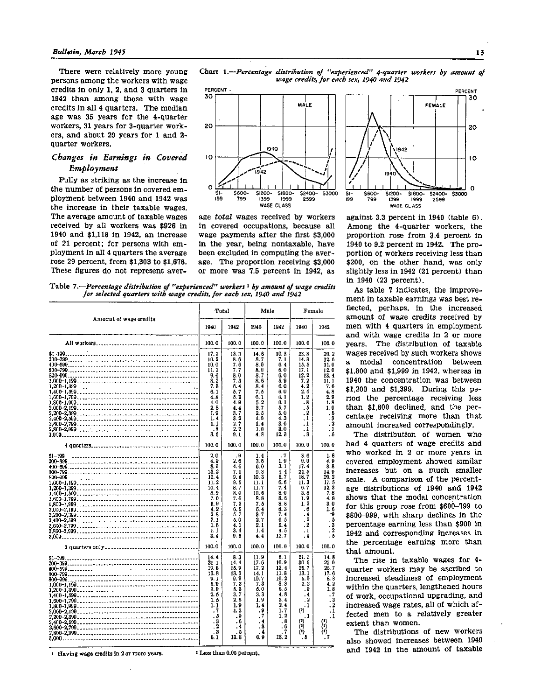There were relatively more young persons among the workers with wage credits in only 1, 2, and 3 quarters in 1942 than among those with wage credits in all 4 quarters. The median age was 35 years for the 4-quarter workers, 31 years for 3-quarter workers, and about 29 years for 1 and 2 quarter workers.

## *Changes in Earnings in Covered Employment*

Fully as striking as the increase in the number of persons in covered employment between 1940 and 1942 was the increase in their taxable wages. The average amount of taxable wages received by all workers was \$926 in 1940 and \$1,118 in 1942, an increase of 21 percent; for persons with employment in all 4 quarters the average rose 29 percent, from \$1,303 to \$1,678. These figures do not represent aver-



Chart **1.**—*Percentage distribution of "experienced" 4-quarter workers by amount of wage credits, for each sex, 1940 and 1942* 

age *total* wages received by workers in covered occupations, because all wage payments after the first \$3,000 in the year, being nontaxable, have been excluded in computing the average. The proportion receiving \$3,000 or more was 7.5 percent in 1942, as

20  $10$  $\Omega$ \$2400-53000 2599 WAGE CLASS against 3.3 percent in  $1940$  (table 6).

Among the 4-quarter workers, the proportion rose from 3.4 percent in 1940 to 9.2 percent in 1942. The proportion of workers receiving less than \$200, on the other hand, was only slightly less in  $1942$  (21 percent) than in 1940 (23 percent).

As table 7 indicates, the improvement in taxable earnings was best reflected, perhaps, in the increased amount of wage credits received by men with 4 quarters in employment and with wage credits in 2 or more years. The distribution of taxable wages received by such workers shows modal concentration between \$1,800 and \$1,999 in 1942, whereas in 1940 the concentration was between \$1,200 and \$1,399. During this period the percentage receiving less than \$1,800 declined, and the percentage receiving more than that amount increased correspondingly.

The distribution of women who had 4 quarters of wage credits and who worked in 2 or more years in covered employment showed similar increases but on a much smaller scale. A comparison of the percentage distributions of 1940 and 1942 shows that the modal concentration for this group rose from \$600-799 to \$800-999, with sharp declines in the percentage earning less than \$900 in 1942 and corresponding increases in the percentage earning more than that amount.

The rise in taxable wages for 4quarter workers may be ascribed to increased steadiness of employment within the quarters, lengthened hours of work, occupational upgrading, and increased wage rates, all of which affected men to a relatively greater extent than women.

The distributions of new workers also showed increases between 1940 and 1942 in the amount of taxable

able 7.—Percentage distribution of "experienced" workers <sup>1</sup> by amount of wage credi for selected quarters with wage credits, for each sex, 1940 and 1942

| Amount of wage credits |                                                                                                                      | Total                                                                                                                   |                                                                                                                                          | Male                                                                                                                       |                                                                                                                                                          | Female                                                                                                                                                     |  |
|------------------------|----------------------------------------------------------------------------------------------------------------------|-------------------------------------------------------------------------------------------------------------------------|------------------------------------------------------------------------------------------------------------------------------------------|----------------------------------------------------------------------------------------------------------------------------|----------------------------------------------------------------------------------------------------------------------------------------------------------|------------------------------------------------------------------------------------------------------------------------------------------------------------|--|
|                        | 1940                                                                                                                 | 1942                                                                                                                    | 1040                                                                                                                                     | 1942                                                                                                                       | 1940                                                                                                                                                     | 1942                                                                                                                                                       |  |
|                        | 100.0                                                                                                                | 100.0                                                                                                                   | 100.0                                                                                                                                    | 100.0                                                                                                                      | 100.0                                                                                                                                                    | 100.0                                                                                                                                                      |  |
|                        | 17.1<br>10.2<br>10.0<br>11. 1<br>9. 6<br>8.2<br>7.3<br>6.1<br>4.8<br>4.0<br>2. B<br>1.9<br>1.4<br>1. 1<br>. 8<br>3.6 | 13.3<br>8. 6<br>7.6<br>7. 7<br>8.0<br>7. 3<br>6. 4<br>5. 7<br>6.2<br>4. 9<br>4.4<br>3.7<br>3. 2<br>2, 7<br>2. 2<br>9. 1 | 14. 6<br>8.7<br>8.0<br>8. 9<br>8.7<br>8.6<br>8.4<br>7. 6<br>6. 1<br>5.2<br>3.7<br>2. 5<br>1.9<br>1.4<br>1.0<br>4.8                       | 10. 8<br>7. 1<br>6.4<br>6. 0<br>6.0<br>5.9<br>6. 0<br>6. O<br>ß. 1<br>6. 1<br>s. 7<br>5.0<br>4.3<br>3. O<br>3.0<br>12 a    | 23.8<br>14.3<br>15.5<br>17.1<br>12.2<br>7.2<br>4.2<br>2. 4<br>1.2<br>$\cdot$ <sub>8</sub><br>. 6<br>. 2<br>$\cdot$<br>. 1<br>. 1<br>$\cdot$ <sup>3</sup> | 20.2<br>12.6<br>11.0<br>12.0<br>13.4<br>11.1<br>7. 6<br>4.8<br>29<br>1.8<br>1.0<br>. 6<br>$\frac{3}{2}$<br>. 1<br>- 6                                      |  |
|                        | 100.0                                                                                                                | 100.0                                                                                                                   | 100.0                                                                                                                                    | 100.0                                                                                                                      | 100.0                                                                                                                                                    | 100.0                                                                                                                                                      |  |
|                        | 2.0<br>4.9<br>8.9<br>13.2<br>12,4<br>11.2<br>10.4<br>8.9<br>7.0<br>5.9<br>42<br>2.8<br>2.1<br>1.6<br>1.1<br>3.4      | . Э<br>2, 6<br>4.6<br>7. 1<br>9.4<br>9.5<br>8.7<br>8. 0<br>7. 6<br>7.3<br>6. G<br>5. 7<br>5.0<br>4. 1<br>3.4<br>9. 5    | 1.4<br>3.6<br>6.0<br>9.3<br>10.3<br>11. 1<br>11. 7<br>10. 6<br>8.8<br>7. 6<br>5.4<br>3.7<br>2.7<br>2.1<br>1.4<br>4. 4                    | $\cdot$ 7<br>1.9<br>3.1<br>4.4<br>5.7<br>6. 6<br>7. 4<br>S. O<br>8.6<br>8. 8<br>8. 3<br>7. 4<br>6. 5<br>5.4<br>4.5<br>12.7 | 3. 6<br>0. 0<br>17.4<br>24.5<br>10.7<br>11.3<br>6. 7<br>3. 8<br>1.9<br>1.2<br>. 6<br>. 4<br>$\cdot$ 2<br>. 2<br>. 1<br>. 4                               | 1. 6<br>4. P<br>8.8<br>14.9<br>20.2<br>17.6<br>12.3<br>7.8<br>4.8<br>3.0<br>1.6<br>۰ġ<br>$\ddot{\phantom{a}}$<br>. 3<br>$\overline{\mathbf{2}}$<br>$\cdot$ |  |
|                        | 100.0                                                                                                                | 100.0                                                                                                                   | 100.0                                                                                                                                    | 100.0                                                                                                                      | 100.0                                                                                                                                                    | 100.0                                                                                                                                                      |  |
| $$1 - 199$ .           | 14.4<br>21.1<br>19.6<br>13.8<br>91<br>5.9<br>3. D<br>2. 5<br>1.5<br>1.1<br>$\cdot$ 7<br>. 5<br>3<br>2<br>3<br>5. 1   | 8. 3<br>14.4<br>15.9<br>13.3<br>9. 9<br>7.2<br>6. 3<br>3.7<br>2.6<br>1.9<br>1, 3<br>. 9<br>. 6<br>. 4<br>. 5<br>13.8    | 11.9<br>17.6<br>17.2<br>14. 1<br>10.7<br>7.3<br>5.0<br>3.3<br>1.9<br>1.4<br>. 9<br>$\cdot$ 7<br>$\ddot{\phantom{1}}$<br>. 3<br>4<br>6. 9 | 6. 1<br>10.9<br>12.4<br>11.8<br>10.2<br>8.3<br>6.5<br>4.8<br>3.4<br>2.4<br>1.7<br>1, 2<br>. 8<br>. 6<br>7<br>18.2          | 21.2<br>30.6<br>25.7<br>13.1<br>5.0<br>2. 2<br>. 9<br>.4<br>. 2<br>. 1<br>$(2)$<br>. 1<br>$\left( 2\right)$<br>ŕ۱<br>$^{\scriptscriptstyle (1)}$<br>. 5  | 14.8<br>25. O<br>25.7<br>17.6<br>8.8<br>4. 2<br>1.8<br>$\cdot$ 7<br>. 3<br>$\ddot{\mathbf{2}}$<br>$\cdot$ 1<br>$\cdot$ 1                                   |  |

1 Having wage credits in 2 or more years.

2 Less than 0.05 percent,

PERCENT

30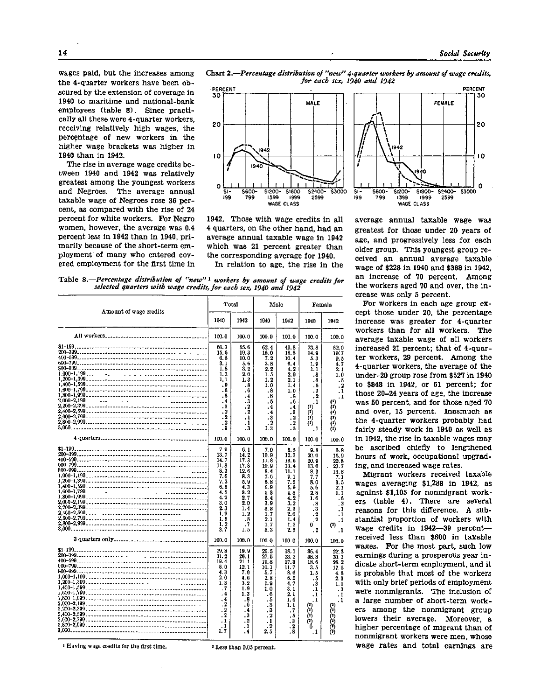PERCENT

wages paid, but the increases among the 4-quarter workers have been obscured by the extension of coverage in 1940 to maritime and national-bank employees (table 8). Since practically all these were 4-quarter workers, receiving relatively high wages, the percentage of new workers in the higher wage brackets was higher in 1940 than in 1942.

The rise in average wage credits between 1940 and 1942 was relatively greatest among the youngest workers and Negroes. The average annual taxable wage of Negroes rose 36 percent, as compared with the rise of 24 percent for white workers. For Negro women, however, the average was 0.4 percent less in 1942 than in 1940, primarily because of the short-term employment of many who entered covered employment for the first time in Chart 2.—*Percentage distribution of "new" 4-quarter workers by amount of wage credits, for each sex, 1940 and 1942* 



1942. Those with wage credits in all 4 quarters, on the other hand, had an average annual taxable wage in 1942 which was 21 percent greater than the corresponding average for 1940.

In relation to age, the rise in the

30 **FEMALE** 20 10 1940  $\mathbf{o}$  $5 -$ \$600 \$1200 \$1800-\$2400 \$3000 199 799 1399 999 2599 WAGE CLASS

average annual taxable wage was greatest for those under 20 years of age, and progressively less for each older group. This youngest group received an annual average taxable wage of \$228 in 1940 and \$388 in 1942, an increase of 70 percent. Among the workers aged 70 and over, the increase was only 5 percent.

For workers in each age group except those under 20, the percentage increase was greater for 4-quarter workers than for all workers. The average taxable wage of all workers increased 21 percent; that of 4-quarter workers, 29 percent. Among the 4-quarter workers, the average of the under-20 group rose from \$527 in 1940 to \$848 in 1942, or 61 percent; for those 20-24 years of age, the increase was 50 percent, and for those aged 70 and over, 15 percent. Inasmuch as the 4-quarter workers probably had fairly steady work in 1940 as well as in 1942, the rise in taxable wages may be ascribed chiefly to lengthened hours of work, occupational upgrading, and increased wage rates.

Migrant workers received taxable wages averaging  $$1,288$  in 1942, as against \$1,105 for nonmigrant workers (table 4). There are several reasons for this difference. A substantial proportion of workers with wage credits in 1942—39 percent received less than \$600 in taxable wages. For the most part, such low earnings during a prosperous year in dicate short-term employment, and it is probable that most of the workers with only brief periods of employment were nonmigrants. The inclusion of a large number of short-term workers among the nonmigrant group lowers their average. Moreover, a higher percentage of migrant than of nonmigrant workers were men, whose wage rates and total earnings are



| Amount of wage credits |                                                                                                                                      | Total                                                                                                                                         | Male                                                                                                                                                               |                                                                                                                              | Female                                                                                                                          |                                                                                                                                                           |
|------------------------|--------------------------------------------------------------------------------------------------------------------------------------|-----------------------------------------------------------------------------------------------------------------------------------------------|--------------------------------------------------------------------------------------------------------------------------------------------------------------------|------------------------------------------------------------------------------------------------------------------------------|---------------------------------------------------------------------------------------------------------------------------------|-----------------------------------------------------------------------------------------------------------------------------------------------------------|
|                        | 1940                                                                                                                                 | 1942                                                                                                                                          | 1940                                                                                                                                                               | 1942                                                                                                                         | 1940                                                                                                                            | 1942                                                                                                                                                      |
|                        | 100.0                                                                                                                                | 100.0                                                                                                                                         | 100.0                                                                                                                                                              | 100.0                                                                                                                        | 100.0                                                                                                                           | 100.0                                                                                                                                                     |
|                        | 66.3<br>15.6<br>6.5<br>3. 1<br>1.8<br>1.3<br>1.1<br>. 9<br>. 6<br>$\overline{\phantom{0}}$<br>.4<br>. 3<br>$\cdot$ 2<br>$\cdot$ 2    | 55.6<br>19.3<br>10.0<br>5.6<br>3.2<br>2.0<br>1. 3<br>.8<br>.6<br>$\cdot$ <sup>4</sup><br>$\cdot$ 3<br>$\cdot$<br>$\overline{2}$<br>$\cdot$    | 62.4<br>16.0<br>7.2<br>3. 8<br>2, 2<br>1.5<br>1.2<br>1.0<br>. 8<br>.8<br>. 5<br>. 4<br>. 4<br>$\cdot$ 3                                                            | 49.8<br>18.8<br>10.4<br>6.4<br>4.2<br>2.0<br>2. 1<br>1.4<br>1.0<br>.8<br>$\ddot{\phantom{0}}$<br>. 4<br>. 3<br>. 2           | 73.8<br>14.9<br>5.3<br>1.9<br>1.1<br>.8<br>. 8<br>. 6<br>. 3<br>$\cdot$<br>. 1<br>ጠ<br>ŕń,<br>ò                                 | 62.0<br>10.7<br>9.5<br>4.7<br>2.1<br>1.0<br>- 5<br>$\cdot$ 2<br>$\cdot$ 1<br>$\cdot$ 1<br>(1)                                                             |
|                        | . 2<br>۵.<br>100.0                                                                                                                   | . 1<br>. 3<br>100.0                                                                                                                           | . 2<br>1.3<br>100.0                                                                                                                                                | $\cdot$ 2<br>.5<br>100.0                                                                                                     | (*)<br>- 1<br>100.0                                                                                                             | 100.0                                                                                                                                                     |
| 2.000-2.199            | 7.9<br>13.7<br>14.7<br>11.8<br>8.3<br>7.6<br>7.2<br>6.5<br>4.5<br>4.2<br>3.0<br>23<br>1.9<br>1.5<br>1.2<br>3.7<br>100.0              | 6. 1<br>14.2<br>17.3<br>17.8<br>12.5<br>R. 3<br>5. 9<br>4.3<br>a. 2<br>2.7<br>20<br>1.4<br>1.2<br>.8<br>. 7<br>1.5<br>100.0                   | 7.0<br>10.9<br>11.8<br>10. 9<br>8.4<br>7.6<br>6.8<br>6.9<br>5. 3<br>5.4<br>3.9<br>3. 3<br>2.7<br>2.1<br>1, 7<br>5.3<br>100.0                                       | 5.5<br>12, 3<br>13.6<br>13.4<br>11.1<br>9.1<br>7.5<br>5. 9<br>4.8<br>4. 2<br>3.2<br>2.3<br>2.0<br>1.4<br>1.2<br>2.5<br>100.0 | 9.8<br>20. 0<br>20.9<br>13.6<br>8. 3<br>7.7<br>8.0<br>5.6<br>28<br>1.6<br>.8<br>.3<br>$\cdot$<br>. 2<br>0<br>$\cdot$ 2<br>100.0 | 6.8<br>16.9<br>22.9<br>23.7<br>14.8<br>7.1<br>3.5<br>2. 1<br>1.1<br>.6<br>. 2<br>$\cdot$ <sub>1</sub><br>$\cdot$ 1<br>$\cdot$<br>$^{(1)}$<br>. 1<br>100.0 |
|                        | 29.8<br>31.2<br>19.4<br>8.0<br>4.3<br>2.0<br>1.3<br>$\cdot$ 7<br>. 4<br>٠4<br>. 2<br>$\cdot$ 2<br>$\cdot$<br>$\cdot$ 1<br>. 1<br>1.7 | 19.9<br>26.1<br>21.1<br>12.1<br>7.0<br>4. 6<br>3.2<br>1.9<br>1.3<br>. 8<br>. G<br>$\cdot$ 4<br>$\cdot$ <sub>3</sub><br>$\cdot$ 2<br>. 1<br>.4 | 26.5<br>27.5<br>19.8<br>10. 1<br>5. 7<br>2.8<br>1.9<br>1.0<br>. 6<br>٠ő<br>$\cdot$ <sub>3</sub><br>$\ddot{\textbf{3}}$<br>$\cdot$ 2<br>$\cdot$<br>$\cdot$ 2<br>2.5 | 18. 1<br>23.2<br>17.3<br>11. 7<br>8.6<br>6.2<br>4.7<br>3. 1<br>2. 1<br>1.4<br>1. 1<br>. 7<br>, 5<br>. 3<br>. 2<br>. 8        | 36.4<br>38.8<br>18.6<br>3.6<br>1.5<br>. 5<br>. 3<br>$\cdot$<br>. 1<br>. 1<br>0)<br>رة<br>(1)<br>n<br>. 1                        | 22.3<br>30.3<br>26.2<br>12.5<br>4.8<br>2.3<br>1.1<br>$\cdot$ 3<br>$\cdot$ I<br>1.                                                                         |

1 Having wage credits for the first time.

2 Less than 0.05 percent.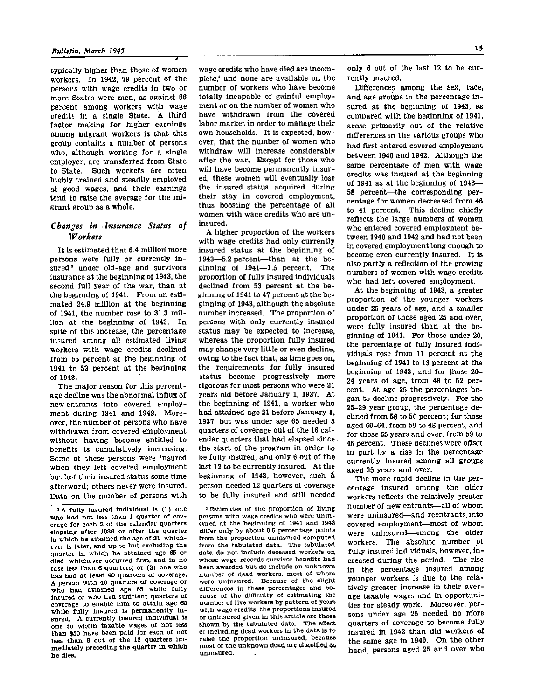typically higher than those of women workers. In 1942, 79 percent of the persons with wage credits in two or more States were men, as against 68 percent among workers with wage credits in a single State. A third factor making for higher earnings among migrant workers is that this group contains a number of persons who, although working for a single employer, are transferred from State to State. Such workers are often highly trained and steadily employed at good wages, and their earnings tend to raise the average for the migrant group as a whole.

#### *Changes in Insurance Status of Workers*

It is estimated that 6.4 million more persons were fully or currently insured<sup>2</sup> under old-age and survivors insurance at the beginning of 1943, the second full year of the war, than at the beginning of 1941. From an estimated 24.9 million at the beginning of 1941, the number rose to 31.3 million at the beginning of 1943. In spite of this increase, the percentage insured among all estimated living workers with wage credits declined from 55 percent at the beginning of 1941 to 53 percent at the beginning of 1943.

The major reason for this percentage decline was the abnormal influx of new entrants into covered employment during 1941 and 1942. Moreover, the number of persons who have withdrawn from covered employment without having become entitled to benefits is cumulatively increasing. Some of these persons were insured when they left covered employment but lost their insured status some time afterward; others never were insured. Data on the number of persons with

wage credits who have died are incomplete,<sup>3</sup> and none are available on the number of workers who have become totally incapable of gainful employment or on the number of women who have withdrawn from the covered labor market in order to manage their own households. It is expected, however, that the number of women who withdraw will increase considerably after the war. Except for those who will have become permanently insured, these women will eventually lose the insured status acquired during their stay in covered employment. thus boosting the percentage of all women with wage credits who are uninsured.

A higher proportion of the workers with wage credits had only currently insured status at the beginning of 1943—5.2 percent—than at the beginning of 1941—1.5 percent. The proportion of fully insured individuals declined from 53 percent at the beginning of 1941 to 47 percent at the beginning of 1943, although the absolute number increased. The proportion of persons with only currently insured status may be expected to increase, whereas the proportion fully insured may change very little or even decline, owing to the fact that, as time goes on, the requirements for fully insured status become progressively more rigorous for most persons who were 21 years old before January 1, 1937. At the beginning of 1941, a worker who had attained age 21 before January 1, 1937, but was under age 65 needed 8 quarters of coverage out of the 16 calendar quarters that had elapsed since the start of the program in order to be fully insured, and only 6 out of the last 12 to be currently insured. At the beginning of 1943, however, such a person needed 12 quarters of coverage to be fully insured and still needed

3 Estimates of the proportion of living persons with wage credits who were uninsured at the beginning of 1941 and 1943 differ only by about 0.5 percentage points from the proportion uninsured computed from the tabulated data. The tabulated data do not include deceased workers on whose wage records survivor benefits had been awarded but do include an unknown number of dead workers, most of whom were uninsured. Because of the slight differences in these percentages and because of the difficulty of estimating the number of live workers by pattern of years with wage credits, the proportions insured or uninsured given in this article are those shown by the tabulated data. The effect of including dead workers in the data is to raise the proportion uninsured, because raise the proportion uninsured, because<br>most of the unknown dead are classified as<br>uninsured.

only 6 out of the last 12 to be currently insured.

Differences among the sex, race, and age groups in the percentage insured at the beginning of 1943, as compared with the beginning of 1941, arose primarily out of the relative differences in the various groups who had first entered covered employment between 1940 and 1940 and 1940 and 1940 and 1940 and 1940 and 1940 and 1940 and 1940 and 1940 and 1940 and 194 between 1940 and 1942. Although the same percentage of men with wage credits was insured at the beginning of 1941 as at the beginning of 1943-58 percent-the corresponding percentage for women decreased from 46 to 41 percent. This decline chiefly reflects the large numbers of women who entered covered employment between 1940 and 1942 and had not been in covered employment long enough to become even currently insured. It is also partly a reflection of the growing numbers of women with wage credits<br>who had left covered employment.

At the beginning of 1943, a greater proportion of the younger workers under 25 years of age, and a smaller proportion of those aged 25 and over, were fully insured than at the beginning of 1941. For those under 20, the percentage of fully insured individuals rose from 11 percent at the beginning of 1941 to 13 percent at the beginning of 1943; and for those 20- 24 years of age, from 48 to 52 percent. At age 25 the percentages began to decline progressively. For the 25-29 year group, the percentage declined from 56 to 50 percent; for those aged 60-64, from 59 to 48 percent, and for those 65 years and over, from 59 to 45 percent. These declines were offset in part by a rise in the percentage currently insured among all groups aged 25 years and over.

The more rapid decline in the percentage insured among the older workers reflects the relatively greater number of new entrants—all of whom were uninsured—and reentrants into covered employment—most of whom were uninsured—among the older workers. The absolute number of fully insured individuals, however, in creased during the period. The rise in the percentage insured among younger workers is due to the relatively greater increase in their average taxable wages and In opportunities for steady work. Moreover, persons under age 25 needed no more quarters of coverage to become fully insured in 1942 than did workers of the same age in 1940. On the other hand, persons aged 25 and over who

<sup>2</sup> A fully insured individual is (1) one who had not less than 1 quarter of coverage for each 2 of the calendar quarters elapsing after 1936 or after the quarter in which he attained the age of 21, whichever is later, and up to but excluding the quarter in which he attained age 65 or died, whichever occurred first, and in no case less than 6 quarters; or (2) one who has had at least 40 quarters of coverage. A person with 40 quarters of coverage or who had attained age 65 while fully insured or who had sufficient quarters of coverage to enable him to attain age 65 while fully insured is permanently insured. A currently insured individual is one to whom taxable wages of not less than \$50 have been paid for each of not less than 6 out of the 12 quarters immediately preceding the quarter in which he dies.